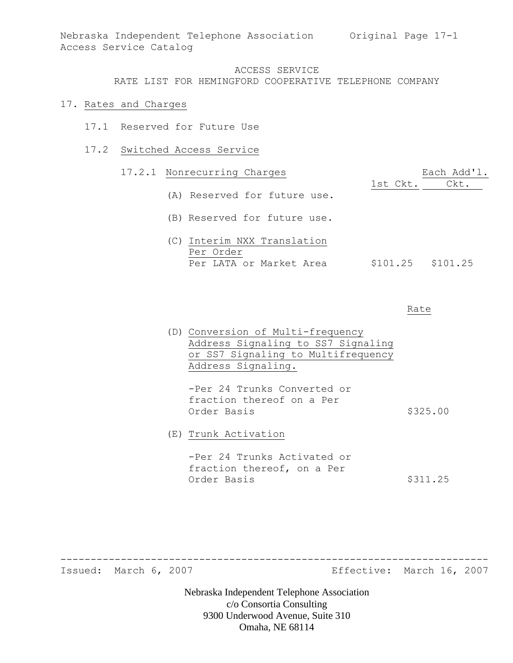RATE LIST FOR HEMINGFORD COOPERATIVE TELEPHONE COMPANY

#### 17. Rates and Charges

- 17.1 Reserved for Future Use
- 17.2 Switched Access Service

# 17.2.1 Nonrecurring Charges Each Add'1. 1st Ckt. Ckt. (A) Reserved for future use. (B) Reserved for future use. (C) Interim NXX Translation Per Order Per LATA or Market Area  $$101.25$  \$101.25

#### Rate

(D) Conversion of Multi-frequency Address Signaling to SS7 Signaling or SS7 Signaling to Multifrequency Address Signaling.

-Per 24 Trunks Converted or fraction thereof on a Per Order Basis  $$325.00$ 

(E) Trunk Activation

-Per 24 Trunks Activated or fraction thereof, on a Per Order Basis  $$311.25$ 

-----------------------------------------------------------------------

Issued: March 6, 2007 Effective: March 16, 2007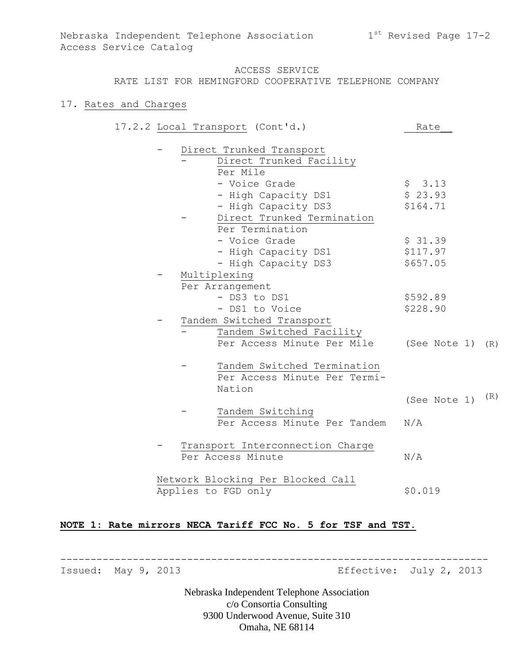#### RATE LIST FOR HEMINGFORD COOPERATIVE TELEPHONE COMPANY

#### 17. Rates and Charges

|  | 17.2.2 Local Transport (Cont'd.)  | Rate         |     |
|--|-----------------------------------|--------------|-----|
|  | Direct Trunked Transport          |              |     |
|  | Direct Trunked Facility           |              |     |
|  | Per Mile                          |              |     |
|  | - Voice Grade                     | \$3.13       |     |
|  | - High Capacity DS1               | \$23.93      |     |
|  | - High Capacity DS3               | \$164.71     |     |
|  | Direct Trunked Termination        |              |     |
|  | Per Termination                   |              |     |
|  | - Voice Grade                     | \$31.39      |     |
|  | - High Capacity DS1               | \$117.97     |     |
|  | - High Capacity DS3               | \$657.05     |     |
|  | Multiplexing                      |              |     |
|  | Per Arrangement                   |              |     |
|  | - DS3 to DS1                      | \$592.89     |     |
|  | - DS1 to Voice                    | \$228.90     |     |
|  | Tandem Switched Transport         |              |     |
|  | Tandem Switched Facility          |              |     |
|  | Per Access Minute Per Mile        | (See Note 1) | (R) |
|  | Tandem Switched Termination       |              |     |
|  | Per Access Minute Per Termi-      |              |     |
|  | Nation                            |              |     |
|  |                                   | (See Note 1) | (R) |
|  | Tandem Switching                  |              |     |
|  | Per Access Minute Per Tandem      | N/A          |     |
|  | Transport Interconnection Charge  |              |     |
|  | Per Access Minute                 | N/A          |     |
|  | Network Blocking Per Blocked Call |              |     |
|  | Applies to FGD only               | \$0.019      |     |
|  |                                   |              |     |

# **NOTE 1: Rate mirrors NECA Tariff FCC No. 5 for TSF and TST.**

Issued: May 9, 2013 Effective: July 2, 2013

Nebraska Independent Telephone Association c/o Consortia Consulting 9300 Underwood Avenue, Suite 310 Omaha, NE 68114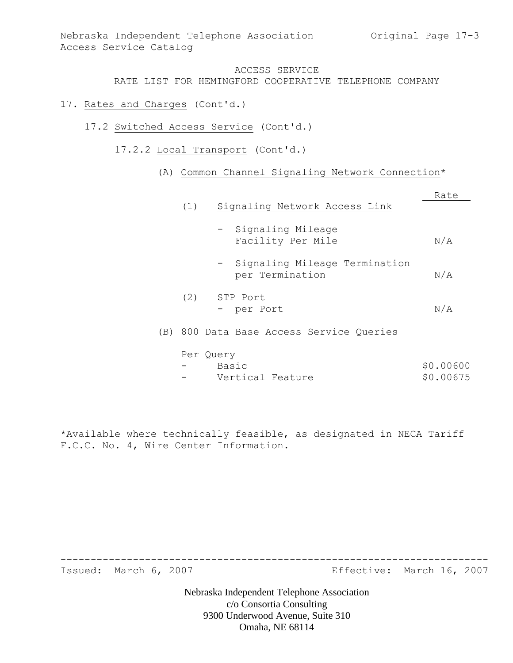RATE LIST FOR HEMINGFORD COOPERATIVE TELEPHONE COMPANY

- 17. Rates and Charges (Cont'd.)
	- 17.2 Switched Access Service (Cont'd.)
		- 17.2.2 Local Transport (Cont'd.)
			- (A) Common Channel Signaling Network Connection\*

|     |     |                                                    | Rate |
|-----|-----|----------------------------------------------------|------|
|     | (1) | Signaling Network Access Link                      |      |
|     |     | - Signaling Mileage<br>Facility Per Mile           | N/A  |
|     |     | - Signaling Mileage Termination<br>per Termination | N/A  |
|     | (2) | STP Port                                           |      |
|     |     | - per Port                                         | N/A  |
| (B) |     | 800 Data Base Access Service Queries               |      |
|     |     | Per Query                                          |      |

| $\sim$                   | Basic            | \$0.00600 |
|--------------------------|------------------|-----------|
| $\overline{\phantom{0}}$ | Vertical Feature | \$0.00675 |

\*Available where technically feasible, as designated in NECA Tariff F.C.C. No. 4, Wire Center Information.

Issued: March 6, 2007 Effective: March 16, 2007

Nebraska Independent Telephone Association c/o Consortia Consulting 9300 Underwood Avenue, Suite 310 Omaha, NE 68114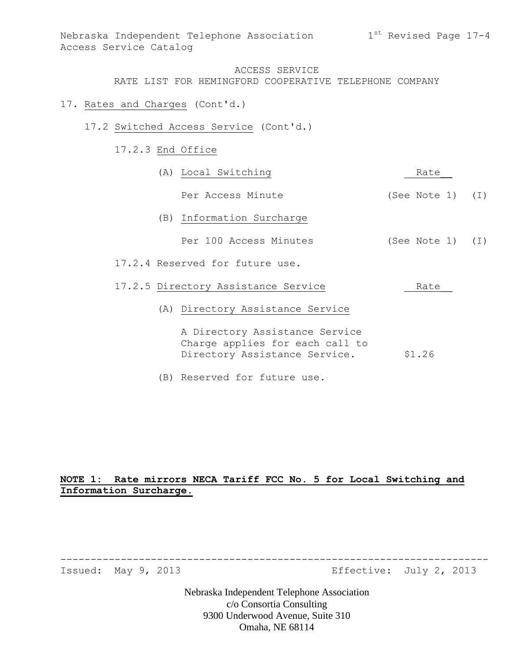RATE LIST FOR HEMINGFORD COOPERATIVE TELEPHONE COMPANY

- 17. Rates and Charges (Cont'd.)
	- 17.2 Switched Access Service (Cont'd.)
		- 17.2.3 End Office

|  | (A) Local Switching                                                                                | Rate               |  |
|--|----------------------------------------------------------------------------------------------------|--------------------|--|
|  | Per Access Minute                                                                                  | (See Note $1)$ (I) |  |
|  | (B) Information Surcharge                                                                          |                    |  |
|  | Per 100 Access Minutes                                                                             | (See Note 1) (I)   |  |
|  | 17.2.4 Reserved for future use.                                                                    |                    |  |
|  | 17.2.5 Directory Assistance Service                                                                | Rate               |  |
|  | (A) Directory Assistance Service                                                                   |                    |  |
|  | A Directory Assistance Service<br>Charge applies for each call to<br>Directory Assistance Service. | \$1.26             |  |
|  | (B) Reserved for future use.                                                                       |                    |  |

# **NOTE 1: Rate mirrors NECA Tariff FCC No. 5 for Local Switching and Information Surcharge.**

Issued: May 9, 2013 Effective: July 2, 2013

Nebraska Independent Telephone Association c/o Consortia Consulting 9300 Underwood Avenue, Suite 310 Omaha, NE 68114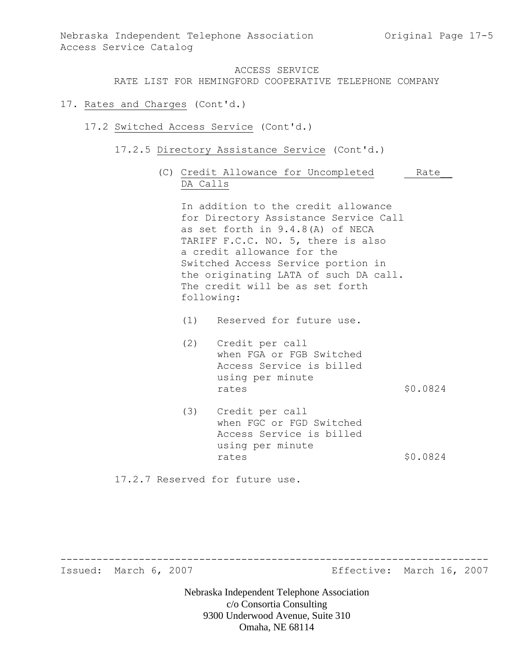RATE LIST FOR HEMINGFORD COOPERATIVE TELEPHONE COMPANY

- 17. Rates and Charges (Cont'd.)
	- 17.2 Switched Access Service (Cont'd.)
		- 17.2.5 Directory Assistance Service (Cont'd.)
			- (C) Credit Allowance for Uncompleted Rate DA Calls

In addition to the credit allowance for Directory Assistance Service Call as set forth in 9.4.8(A) of NECA TARIFF F.C.C. NO. 5, there is also a credit allowance for the Switched Access Service portion in the originating LATA of such DA call. The credit will be as set forth following:

- (1) Reserved for future use.
- (2) Credit per call when FGA or FGB Switched Access Service is billed using per minute rates \$0.0824
- (3) Credit per call when FGC or FGD Switched Access Service is billed using per minute rates \$0.0824

-----------------------------------------------------------------------

17.2.7 Reserved for future use.

Issued: March 6, 2007 Effective: March 16, 2007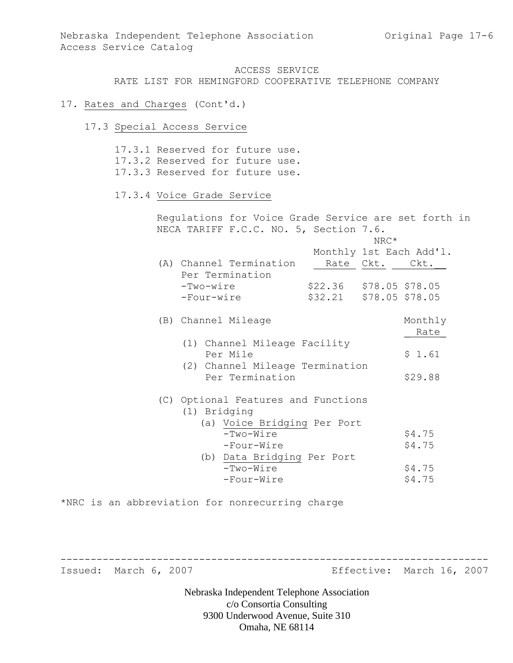RATE LIST FOR HEMINGFORD COOPERATIVE TELEPHONE COMPANY

#### 17. Rates and Charges (Cont'd.)

17.3 Special Access Service

17.3.1 Reserved for future use. 17.3.2 Reserved for future use. 17.3.3 Reserved for future use. 17.3.4 Voice Grade Service Regulations for Voice Grade Service are set forth in NECA TARIFF F.C.C. NO. 5, Section 7.6. NRC\* Monthly 1st Each Add'l. (A) Channel Termination Rate Ckt. Ckt.\_\_ Per Termination -Two-wire \$22.36 \$78.05 \$78.05 -Four-wire \$32.21 \$78.05 \$78.05 (B) Channel Mileage Monthly \_\_Rate (1) Channel Mileage Facility Per Mile  $$1.61$  (2) Channel Mileage Termination Per Termination \$29.88 (C) Optional Features and Functions (1) Bridging (a) Voice Bridging Per Port  $-Two-Wire$  \$4.75 -Four-Wire  $$4.75$  (b) Data Bridging Per Port  $-Two-Wire$  \$4.75  $-Four-Wire$  \$4.75

\*NRC is an abbreviation for nonrecurring charge

Issued: March 6, 2007 Effective: March 16, 2007

Nebraska Independent Telephone Association c/o Consortia Consulting 9300 Underwood Avenue, Suite 310 Omaha, NE 68114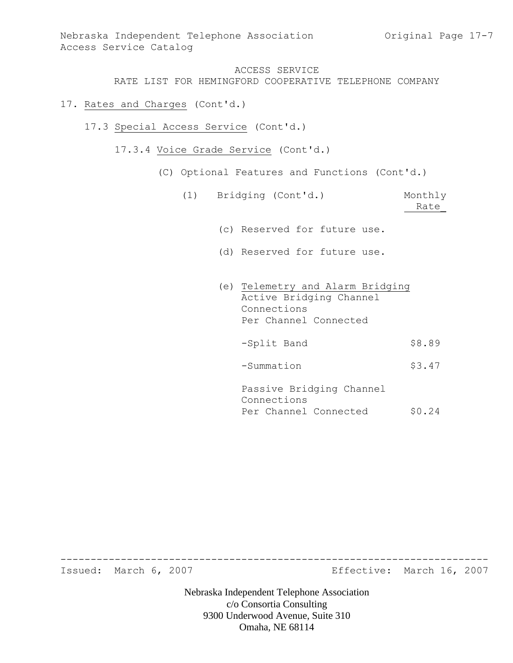RATE LIST FOR HEMINGFORD COOPERATIVE TELEPHONE COMPANY

- 17. Rates and Charges (Cont'd.)
	- 17.3 Special Access Service (Cont'd.)
		- 17.3.4 Voice Grade Service (Cont'd.)
			- (C) Optional Features and Functions (Cont'd.)
				- (1) Bridging (Cont'd.) Monthly Rate\_
					- (c) Reserved for future use.
					- (d) Reserved for future use.
					- (e) Telemetry and Alarm Bridging Active Bridging Channel Connections Per Channel Connected
						- -Split Band \$8.89
						- -Summation \$3.47
						- Passive Bridging Channel Connections Per Channel Connected \$0.24

Issued: March 6, 2007 Effective: March 16, 2007

Nebraska Independent Telephone Association c/o Consortia Consulting 9300 Underwood Avenue, Suite 310 Omaha, NE 68114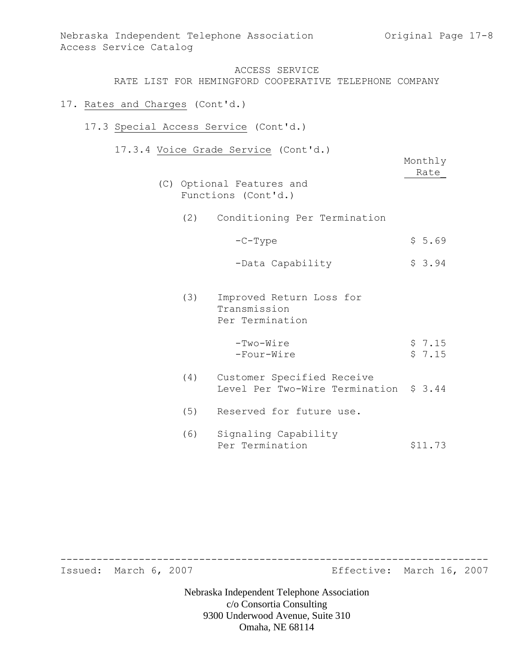### 17. Rates and Charges (Cont'd.)

- 17.3 Special Access Service (Cont'd.)
	- 17.3.4 Voice Grade Service (Cont'd.)

|     |                                                                      | Monthly<br>Rate  |
|-----|----------------------------------------------------------------------|------------------|
|     | (C) Optional Features and<br>Functions (Cont'd.)                     |                  |
| (2) | Conditioning Per Termination                                         |                  |
|     | $ C$ $ Type$                                                         | \$5.69           |
|     | -Data Capability                                                     | \$3.94           |
| (3) | Improved Return Loss for<br>Transmission<br>Per Termination          |                  |
|     | $-Two-Wire$<br>-Four-Wire                                            | \$7.15<br>\$7.15 |
| (4) | Customer Specified Receive<br>Level Per Two-Wire Termination \$ 3.44 |                  |
| (5) | Reserved for future use.                                             |                  |
| (6) | Signaling Capability<br>Per Termination                              | \$11.73          |

Issued: March 6, 2007 **Effective: March 16, 2007** 

Nebraska Independent Telephone Association c/o Consortia Consulting 9300 Underwood Avenue, Suite 310 Omaha, NE 68114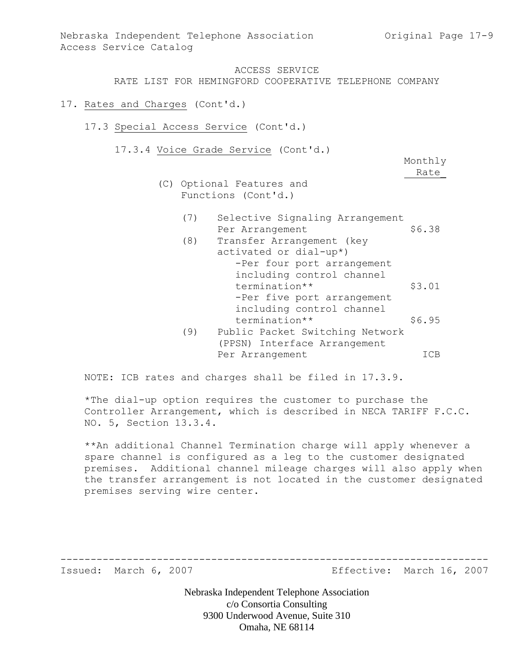### 17. Rates and Charges (Cont'd.)

- 17.3 Special Access Service (Cont'd.)
	- 17.3.4 Voice Grade Service (Cont'd.)

Monthly Rate\_

- (C) Optional Features and Functions (Cont'd.)
	- (7) Selective Signaling Arrangement Per Arrangement \$6.38
	- (8) Transfer Arrangement (key activated or dial-up\*) -Per four port arrangement including control channel termination\*\* \$3.01 -Per five port arrangement including control channel termination\*\* \$6.95 (9) Public Packet Switching Network (PPSN) Interface Arrangement Per Arrangement ICB

NOTE: ICB rates and charges shall be filed in 17.3.9.

\*The dial-up option requires the customer to purchase the Controller Arrangement, which is described in NECA TARIFF F.C.C. NO. 5, Section 13.3.4.

\*\*An additional Channel Termination charge will apply whenever a spare channel is configured as a leg to the customer designated premises. Additional channel mileage charges will also apply when the transfer arrangement is not located in the customer designated premises serving wire center.

Issued: March 6, 2007 Effective: March 16, 2007

Nebraska Independent Telephone Association c/o Consortia Consulting 9300 Underwood Avenue, Suite 310 Omaha, NE 68114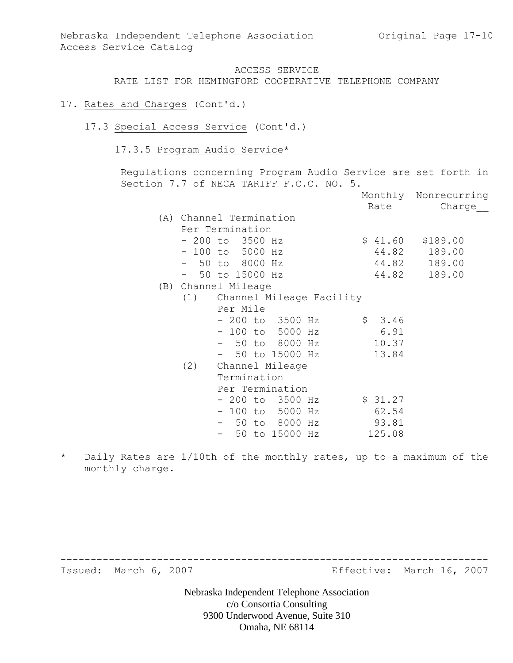- 17. Rates and Charges (Cont'd.)
	- 17.3 Special Access Service (Cont'd.)
		- 17.3.5 Program Audio Service\*

Regulations concerning Program Audio Service are set forth in Section 7.7 of NECA TARIFF F.C.C. NO. 5.

|     |                          |                |  |         | Monthly Nonrecurring |
|-----|--------------------------|----------------|--|---------|----------------------|
|     |                          |                |  | Rate    | Charge               |
|     | (A) Channel Termination  |                |  |         |                      |
|     | Per Termination          |                |  |         |                      |
|     | $-200$ to 3500 Hz        |                |  | \$41.60 | \$189.00             |
|     | $-100$ to 5000 Hz        |                |  | 44.82   | 189.00               |
|     | - 50 to 8000 Hz          |                |  | 44.82   | 189.00               |
|     | 50 to 15000 Hz           |                |  | 44.82   | 189.00               |
|     | (B) Channel Mileage      |                |  |         |                      |
| (1) | Channel Mileage Facility |                |  |         |                      |
|     | Per Mile                 |                |  |         |                      |
|     | - 200 to 3500 Hz         |                |  | \$3.46  |                      |
|     | $-100$ to 5000 Hz        |                |  | 6.91    |                      |
|     | - 50 to 8000 Hz          |                |  | 10.37   |                      |
|     |                          | 50 to 15000 Hz |  | 13.84   |                      |
| (2) | Channel Mileage          |                |  |         |                      |
|     | Termination              |                |  |         |                      |
|     | Per Termination          |                |  |         |                      |
|     | $-200$ to $3500$ Hz      |                |  | \$31.27 |                      |
|     | $-100$ to 5000 Hz        |                |  | 62.54   |                      |
|     | - 50 to 8000 Hz          |                |  | 93.81   |                      |
|     |                          | 50 to 15000 Hz |  | 125.08  |                      |

\* Daily Rates are 1/10th of the monthly rates, up to a maximum of the monthly charge.

Issued: March 6, 2007 **Effective: March 16, 2007** 

Nebraska Independent Telephone Association c/o Consortia Consulting 9300 Underwood Avenue, Suite 310 Omaha, NE 68114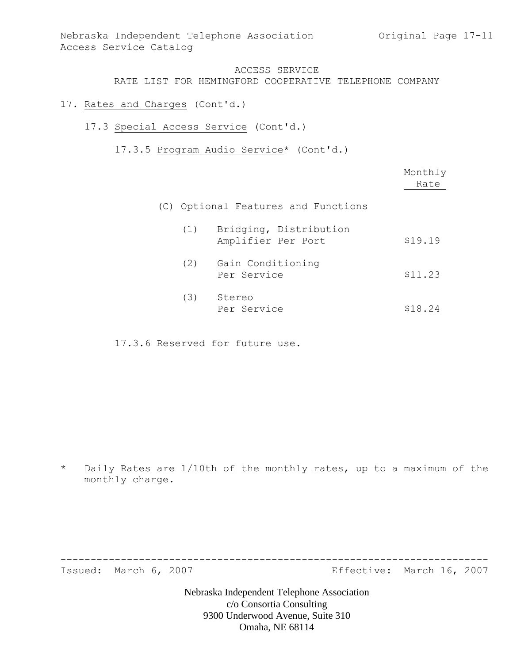RATE LIST FOR HEMINGFORD COOPERATIVE TELEPHONE COMPANY

- 17. Rates and Charges (Cont'd.)
	- 17.3 Special Access Service (Cont'd.)
		- 17.3.5 Program Audio Service\* (Cont'd.)

|     |                                              | Monthly<br>Rate |
|-----|----------------------------------------------|-----------------|
|     | (C) Optional Features and Functions          |                 |
| (1) | Bridging, Distribution<br>Amplifier Per Port | \$19.19         |
| (2) | Gain Conditioning<br>Per Service             | \$11.23         |
| (3) | Stereo<br>Per Service                        | \$18.24         |

17.3.6 Reserved for future use.

\* Daily Rates are 1/10th of the monthly rates, up to a maximum of the monthly charge.

Issued: March 6, 2007 **Effective: March 16, 2007** 

Nebraska Independent Telephone Association c/o Consortia Consulting 9300 Underwood Avenue, Suite 310 Omaha, NE 68114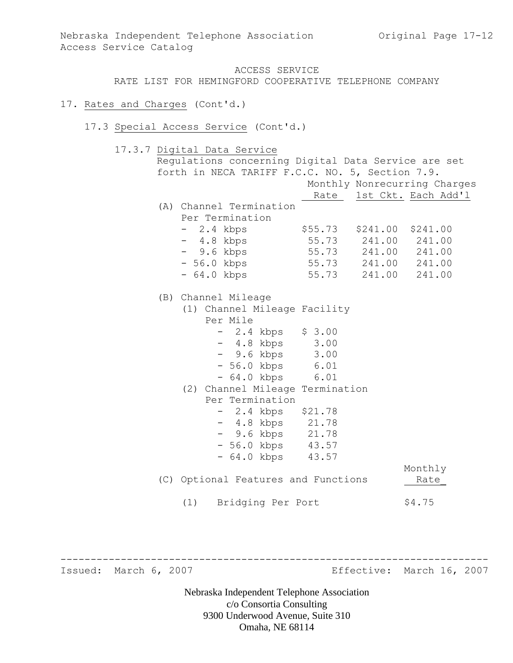### 17. Rates and Charges (Cont'd.)

17.3 Special Access Service (Cont'd.)

17.3.7 Digital Data Service

| forth in NECA TARIFF F.C.C. NO. 5, Section 7.9.<br>Monthly Nonrecurring Charges<br>Rate 1st Ckt. Each Add'l<br>\$241.00 |
|-------------------------------------------------------------------------------------------------------------------------|
|                                                                                                                         |
|                                                                                                                         |
|                                                                                                                         |
|                                                                                                                         |
|                                                                                                                         |
|                                                                                                                         |
| 241.00                                                                                                                  |
| 55.73 241.00 241.00                                                                                                     |
| 55.73 241.00 241.00                                                                                                     |
| 55.73 241.00 241.00                                                                                                     |
|                                                                                                                         |
|                                                                                                                         |
|                                                                                                                         |
|                                                                                                                         |
|                                                                                                                         |
|                                                                                                                         |
|                                                                                                                         |
|                                                                                                                         |
|                                                                                                                         |
|                                                                                                                         |
|                                                                                                                         |
|                                                                                                                         |
|                                                                                                                         |
|                                                                                                                         |
|                                                                                                                         |
| Monthly                                                                                                                 |
| Rate                                                                                                                    |
|                                                                                                                         |
|                                                                                                                         |

Issued: March 6, 2007 **Effective: March 16, 2007** 

Nebraska Independent Telephone Association c/o Consortia Consulting 9300 Underwood Avenue, Suite 310 Omaha, NE 68114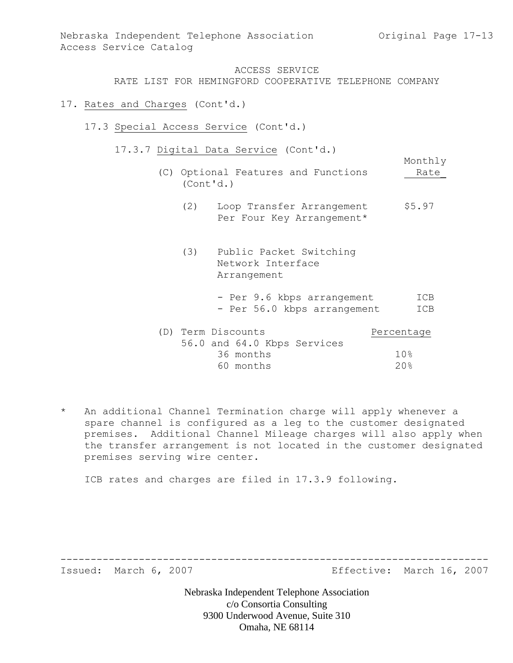Monthly

### ACCESS SERVICE

RATE LIST FOR HEMINGFORD COOPERATIVE TELEPHONE COMPANY

#### 17. Rates and Charges (Cont'd.)

- 17.3 Special Access Service (Cont'd.)
	- 17.3.7 Digital Data Service (Cont'd.)
		- (C) Optional Features and Functions Rate\_ (Cont'd.)
			- (2) Loop Transfer Arrangement \$5.97 Per Four Key Arrangement\*
			- (3) Public Packet Switching Network Interface Arrangement
				- Per 9.6 kbps arrangement ICB - Per 56.0 kbps arrangement ICB

| (D) Term Discounts |           |                             | Percentage      |
|--------------------|-----------|-----------------------------|-----------------|
|                    |           | 56.0 and 64.0 Kbps Services |                 |
|                    | 36 months |                             | 10 <sup>g</sup> |
|                    | 60 months |                             | 20%             |

\* An additional Channel Termination charge will apply whenever a spare channel is configured as a leg to the customer designated premises. Additional Channel Mileage charges will also apply when the transfer arrangement is not located in the customer designated premises serving wire center.

ICB rates and charges are filed in 17.3.9 following.

Issued: March 6, 2007 Effective: March 16, 2007

Nebraska Independent Telephone Association c/o Consortia Consulting 9300 Underwood Avenue, Suite 310 Omaha, NE 68114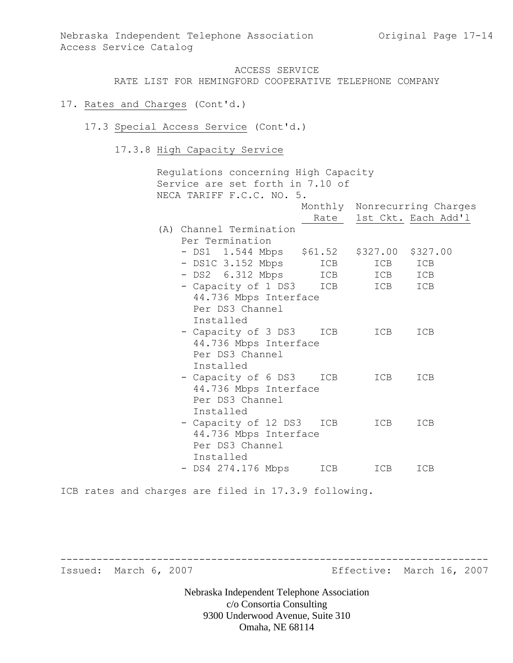#### 17. Rates and Charges (Cont'd.)

- 17.3 Special Access Service (Cont'd.)
	- 17.3.8 High Capacity Service

Regulations concerning High Capacity Service are set forth in 7.10 of NECA TARIFF F.C.C. NO. 5. Monthly Nonrecurring Charges Rate 1st Ckt. Each Add'l (A) Channel Termination Per Termination - DS1 1.544 Mbps \$61.52 \$327.00 \$327.00 - DS1C 3.152 Mbps ICB ICB ICB - DS2 6.312 Mbps ICB ICB ICB - Capacity of 1 DS3 ICB ICB ICB 44.736 Mbps Interface Per DS3 Channel Installed - Capacity of 3 DS3 ICB ICB ICB 44.736 Mbps Interface Per DS3 Channel Installed - Capacity of 6 DS3 ICB ICB ICB 44.736 Mbps Interface Per DS3 Channel Installed - Capacity of 12 DS3 ICB ICB ICB 44.736 Mbps Interface Per DS3 Channel Installed - DS4 274.176 Mbps ICB ICB ICB

ICB rates and charges are filed in 17.3.9 following.

Issued: March 6, 2007 Effective: March 16, 2007

Nebraska Independent Telephone Association c/o Consortia Consulting 9300 Underwood Avenue, Suite 310 Omaha, NE 68114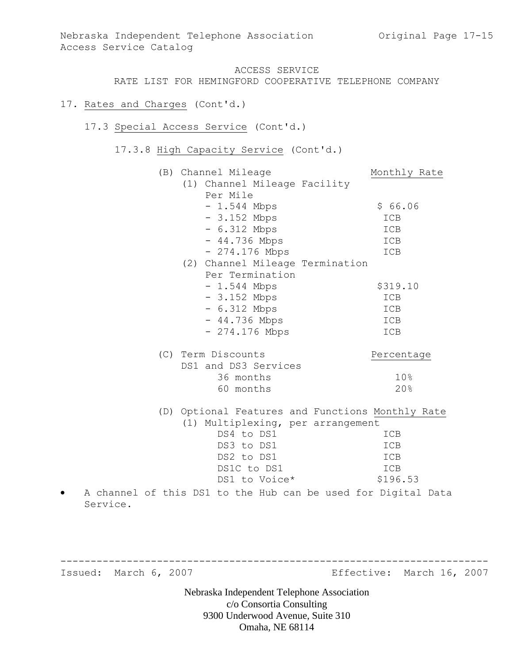RATE LIST FOR HEMINGFORD COOPERATIVE TELEPHONE COMPANY

### 17. Rates and Charges (Cont'd.)

### 17.3 Special Access Service (Cont'd.)

17.3.8 High Capacity Service (Cont'd.)

| (B) Channel Mileage                                           | Monthly Rate |
|---------------------------------------------------------------|--------------|
| (1) Channel Mileage Facility                                  |              |
| Per Mile                                                      |              |
| $-1.544$ Mbps                                                 | \$66.06      |
| $-3.152$ Mbps                                                 | ICB          |
| $-6.312$ Mbps                                                 | ICB          |
| $-44.736$ Mbps                                                | ICB          |
| $-274.176$ Mbps                                               | ICB          |
| (2) Channel Mileage Termination                               |              |
| Per Termination                                               |              |
| $-1.544$ Mbps                                                 | \$319.10     |
| $-3.152$ Mbps                                                 | ICB          |
| $-6.312$ Mbps                                                 | ICB<br>ICB   |
| $-44.736$ Mbps<br>$-274.176$ Mbps                             | ICB          |
|                                                               |              |
| (C) Term Discounts                                            | Percentage   |
| DS1 and DS3 Services                                          |              |
| 36 months                                                     | 10%          |
| 60 months                                                     | 20%          |
| (D) Optional Features and Functions Monthly Rate              |              |
| (1) Multiplexing, per arrangement                             |              |
| DS4 to DS1                                                    | ICB          |
| DS3 to DS1                                                    | ICB          |
| DS2 to DS1                                                    | ICB          |
| DS1C to DS1                                                   | ICB          |
| DS1 to Voice*                                                 | \$196.53     |
| A channel of this DS1 to the Hub can be used for Digital Data |              |

Service.

Issued: March 6, 2007 Effective: March 16, 2007

Nebraska Independent Telephone Association c/o Consortia Consulting 9300 Underwood Avenue, Suite 310 Omaha, NE 68114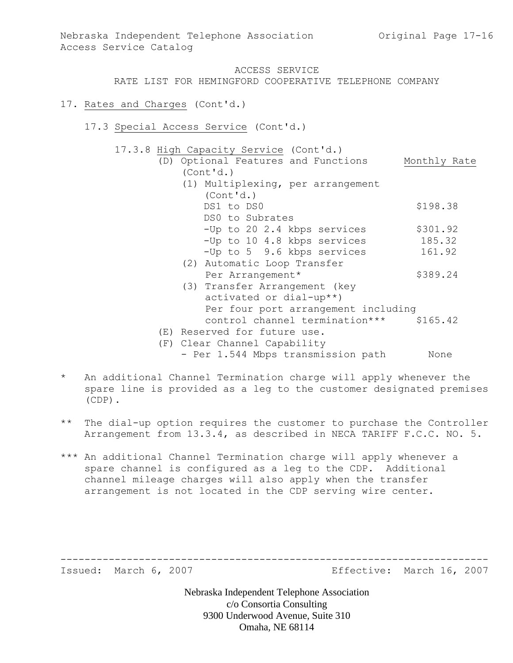RATE LIST FOR HEMINGFORD COOPERATIVE TELEPHONE COMPANY

### 17. Rates and Charges (Cont'd.)

17.3 Special Access Service (Cont'd.)

17.3.8 High Capacity Service (Cont'd.)

- (D) Optional Features and Functions Monthly Rate (Cont'd.) (1) Multiplexing, per arrangement (Cont'd.) DS1 to DS0 \$198.38 DS0 to Subrates  $-Up$  to 20 2.4 kbps services  $$301.92$ -Up to 10 4.8 kbps services 185.32 -Up to 5 9.6 kbps services 161.92 (2) Automatic Loop Transfer Per Arrangement\* \$389.24 (3) Transfer Arrangement (key activated or dial-up\*\*)
	- Per four port arrangement including control channel termination\*\*\* \$165.42
	- (E) Reserved for future use.
	- (F) Clear Channel Capability
		- Per 1.544 Mbps transmission path None

-----------------------------------------------------------------------

- \* An additional Channel Termination charge will apply whenever the spare line is provided as a leg to the customer designated premises (CDP).
- \*\* The dial-up option requires the customer to purchase the Controller Arrangement from 13.3.4, as described in NECA TARIFF F.C.C. NO. 5.
- \*\*\* An additional Channel Termination charge will apply whenever a spare channel is configured as a leg to the CDP. Additional channel mileage charges will also apply when the transfer arrangement is not located in the CDP serving wire center.

Issued: March 6, 2007 **Effective: March 16, 2007**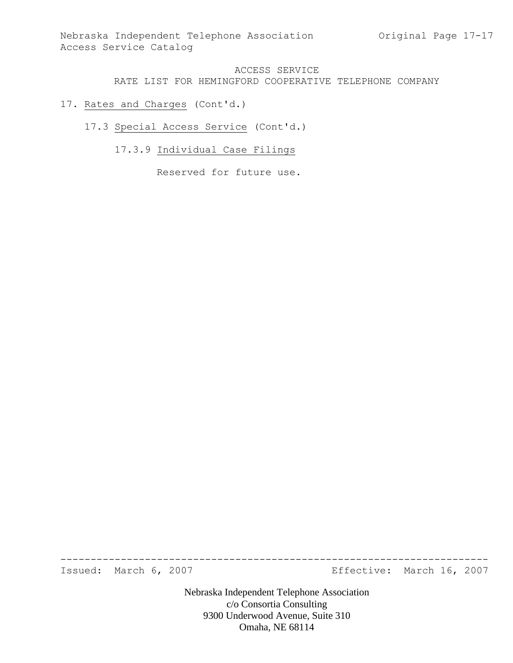# 17. Rates and Charges (Cont'd.)

- 17.3 Special Access Service (Cont'd.)
	- 17.3.9 Individual Case Filings

Reserved for future use.

Issued: March 6, 2007 **Effective: March 16, 2007** 

Nebraska Independent Telephone Association c/o Consortia Consulting 9300 Underwood Avenue, Suite 310 Omaha, NE 68114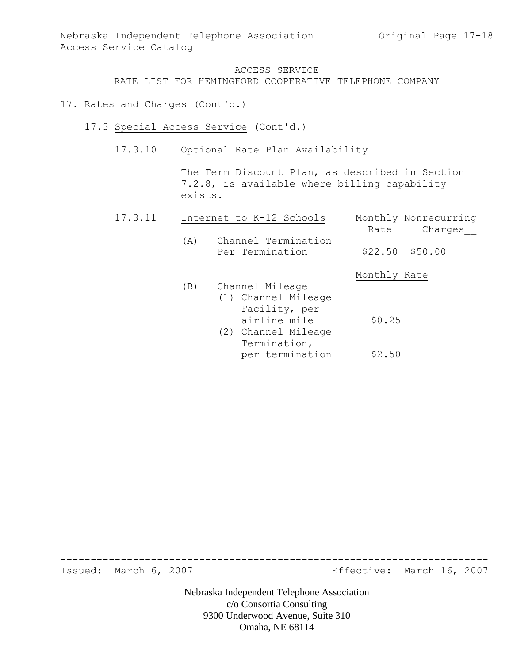### 17. Rates and Charges (Cont'd.)

- 17.3 Special Access Service (Cont'd.)
	- 17.3.10 Optional Rate Plan Availability

The Term Discount Plan, as described in Section 7.2.8, is available where billing capability exists.

| 17.3.11 |     | Internet to K-12 Schools               | Monthly Nonrecurring |
|---------|-----|----------------------------------------|----------------------|
|         |     |                                        | Charges<br>Rate      |
|         | (A) | Channel Termination<br>Per Termination | $$22.50$ $$50.00$    |
|         |     |                                        | Monthly Rate         |
|         | (B) | Channel Mileage                        |                      |
|         |     | (1) Channel Mileage                    |                      |
|         |     | Facility, per                          |                      |
|         |     | airline mile                           | \$0.25               |
|         |     | (2) Channel Mileage                    |                      |
|         |     | Termination,                           |                      |
|         |     | per termination                        | \$2.50               |

Issued: March 6, 2007 Effective: March 16, 2007

Nebraska Independent Telephone Association c/o Consortia Consulting 9300 Underwood Avenue, Suite 310 Omaha, NE 68114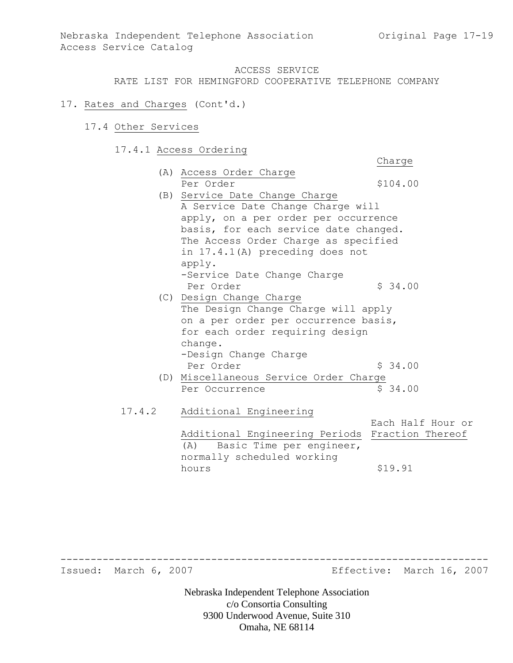Charge

#### ACCESS SERVICE

RATE LIST FOR HEMINGFORD COOPERATIVE TELEPHONE COMPANY

- 17. Rates and Charges (Cont'd.)
	- 17.4 Other Services
		- 17.4.1 Access Ordering
			- (A) Access Order Charge Per Order  $$104.00$
			- (B) Service Date Change Charge A Service Date Change Charge will apply, on a per order per occurrence basis, for each service date changed. The Access Order Charge as specified in 17.4.1(A) preceding does not apply. -Service Date Change Charge Per Order  $\frac{1}{2}$  34.00
			- (C) Design Change Charge The Design Change Charge will apply on a per order per occurrence basis, for each order requiring design change. -Design Change Charge Per Order  $\sim$  \$ 34.00
			- (D) Miscellaneous Service Order Charge Per Occurrence  $\frac{1}{2}$  \$ 34.00
			- 17.4.2 Additional Engineering Each Half Hour or Additional Engineering Periods Fraction Thereof (A) Basic Time per engineer, normally scheduled working hours \$19.91

Issued: March 6, 2007 Effective: March 16, 2007

Nebraska Independent Telephone Association c/o Consortia Consulting 9300 Underwood Avenue, Suite 310 Omaha, NE 68114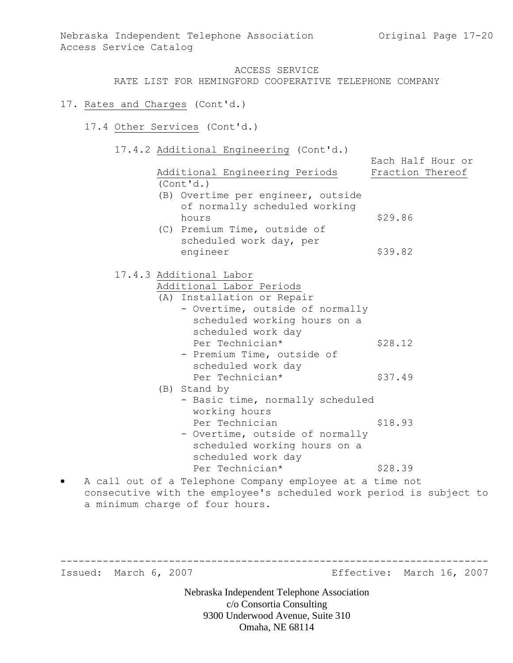# 17. Rates and Charges (Cont'd.)

- 17.4 Other Services (Cont'd.)
	- 17.4.2 Additional Engineering (Cont'd.)

| Additional Engineering Periods                                      | Fraction Thereof |
|---------------------------------------------------------------------|------------------|
|                                                                     |                  |
| (Cont'd.)                                                           |                  |
| (B) Overtime per engineer, outside                                  |                  |
| of normally scheduled working                                       |                  |
| hours                                                               | \$29.86          |
| (C) Premium Time, outside of                                        |                  |
| scheduled work day, per                                             |                  |
| engineer                                                            | \$39.82          |
| 17.4.3 Additional Labor                                             |                  |
| Additional Labor Periods                                            |                  |
| (A) Installation or Repair                                          |                  |
| - Overtime, outside of normally                                     |                  |
| scheduled working hours on a                                        |                  |
| scheduled work day                                                  |                  |
| Per Technician*                                                     | \$28.12          |
| - Premium Time, outside of                                          |                  |
| scheduled work day                                                  |                  |
| Per Technician*                                                     | \$37.49          |
| (B) Stand by                                                        |                  |
| - Basic time, normally scheduled                                    |                  |
| working hours                                                       |                  |
| Per Technician                                                      | \$18.93          |
| - Overtime, outside of normally                                     |                  |
| scheduled working hours on a                                        |                  |
| scheduled work day                                                  |                  |
| Per Technician*                                                     | \$28.39          |
| A call out of a Telephone Company employee at a time not            |                  |
| consecutive with the employee's scheduled work period is subject to |                  |

a minimum charge of four hours.

Issued: March 6, 2007 Effective: March 16, 2007

Nebraska Independent Telephone Association c/o Consortia Consulting 9300 Underwood Avenue, Suite 310 Omaha, NE 68114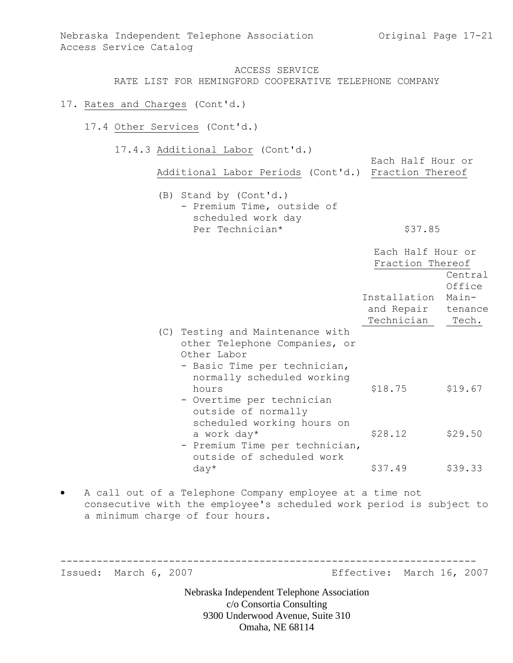### 17. Rates and Charges (Cont'd.)

- 17.4 Other Services (Cont'd.)
	- 17.4.3 Additional Labor (Cont'd.)

Each Half Hour or Additional Labor Periods (Cont'd.) Fraction Thereof (B) Stand by (Cont'd.) - Premium Time, outside of scheduled work day

Per Technician\* \$37.85

|     |                                                                                                                                            | Each Half Hour or<br>Fraction Thereof  | Central<br>Office |
|-----|--------------------------------------------------------------------------------------------------------------------------------------------|----------------------------------------|-------------------|
|     |                                                                                                                                            | Installation                           | Main-             |
|     |                                                                                                                                            | and Repair tenance<br>Technician Tech. |                   |
| (C) | Testing and Maintenance with<br>other Telephone Companies, or<br>Other Labor<br>- Basic Time per technician,<br>normally scheduled working |                                        |                   |
|     | hours<br>- Overtime per technician<br>outside of normally<br>scheduled working hours on                                                    | \$18.75                                | \$19.67           |
|     | a work day*<br>- Premium Time per technician,<br>outside of scheduled work                                                                 | \$28.12                                | \$29.50           |
|     | $day*$                                                                                                                                     | \$37.49                                | \$39.33           |

 A call out of a Telephone Company employee at a time not consecutive with the employee's scheduled work period is subject to a minimum charge of four hours.

--------------------------------------------------------------------- Issued: March 6, 2007 Effective: March 16, 2007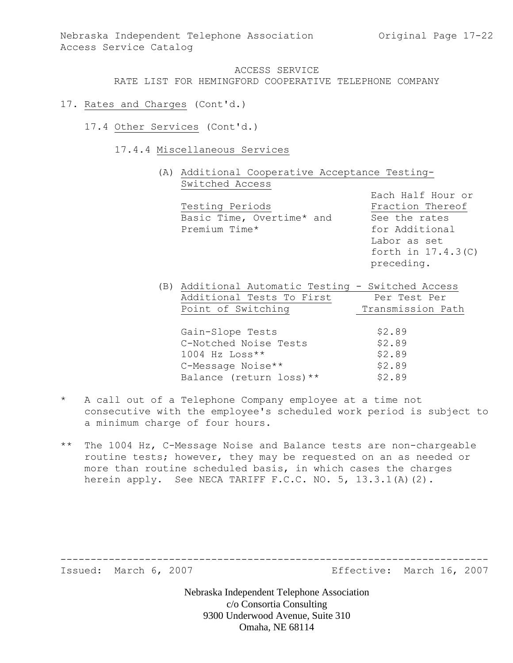### 17. Rates and Charges (Cont'd.)

- 17.4 Other Services (Cont'd.)
	- 17.4.4 Miscellaneous Services
		- (A) Additional Cooperative Acceptance Testing-Switched Access

| Testing Periods           |  |  |  |  |
|---------------------------|--|--|--|--|
| Basic Time, Overtime* and |  |  |  |  |
| Premium Time*             |  |  |  |  |

Each Half Hour or Fraction Thereof See the rates for Additional Labor as set forth in 17.4.3(C) preceding.

| (B) Additional Automatic Testing - Switched Access |                   |
|----------------------------------------------------|-------------------|
| Additional Tests To First                          | Per Test Per      |
| Point of Switching                                 | Transmission Path |
|                                                    |                   |
| Gain-Slope Tests                                   | \$2.89            |
| C-Notched Noise Tests                              | \$2.89            |
| $1004$ Hz Loss**                                   | \$2.89            |
| C-Message Noise**                                  | \$2.89            |
| Balance (return loss) **                           | \$2.89            |

- \* A call out of a Telephone Company employee at a time not consecutive with the employee's scheduled work period is subject to a minimum charge of four hours.
- \*\* The 1004 Hz, C-Message Noise and Balance tests are non-chargeable routine tests; however, they may be requested on an as needed or more than routine scheduled basis, in which cases the charges herein apply. See NECA TARIFF F.C.C. NO. 5, 13.3.1(A)(2).

Issued: March 6, 2007 Effective: March 16, 2007

Nebraska Independent Telephone Association c/o Consortia Consulting 9300 Underwood Avenue, Suite 310 Omaha, NE 68114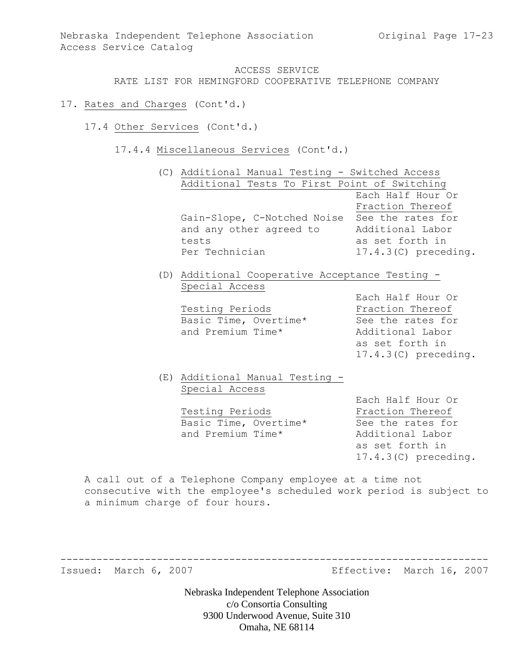- 17. Rates and Charges (Cont'd.)
	- 17.4 Other Services (Cont'd.)
		- 17.4.4 Miscellaneous Services (Cont'd.)

|  | (C) Additional Manual Testing - Switched Access |                        |
|--|-------------------------------------------------|------------------------|
|  | Additional Tests To First Point of Switching    |                        |
|  |                                                 | Each Half Hour Or      |
|  |                                                 | Fraction Thereof       |
|  | Gain-Slope, C-Notched Noise                     | See the rates for      |
|  | and any other agreed to                         | Additional Labor       |
|  | tests                                           | as set forth in        |
|  | Per Technician                                  | $17.4.3(C)$ preceding. |
|  |                                                 |                        |

(D) Additional Cooperative Acceptance Testing - Special Access

| Testing Periods       | Fraction Thereof  |
|-----------------------|-------------------|
| Basic Time, Overtime* | See the rates for |
| and Premium Time*     | Additional Labor  |

Each Half Hour Or Fraction Thereof as set forth in 17.4.3(C) preceding.

# (E) Additional Manual Testing - Special Access

Testing Periods **Fraction** Thereof Basic Time, Overtime\* See the rates for and Premium Time\* Additional Labor

Each Half Hour Or as set forth in 17.4.3(C) preceding.

A call out of a Telephone Company employee at a time not consecutive with the employee's scheduled work period is subject to a minimum charge of four hours.

-----------------------------------------------------------------------

Issued: March 6, 2007 Effective: March 16, 2007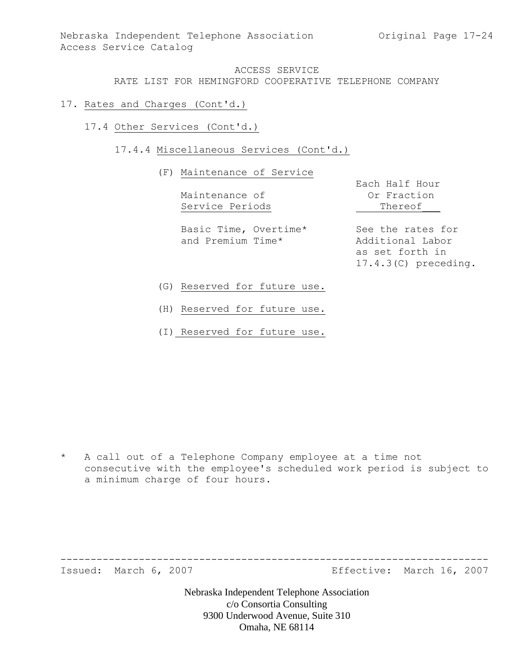- 17. Rates and Charges (Cont'd.)
	- 17.4 Other Services (Cont'd.)

# 17.4.4 Miscellaneous Services (Cont'd.)

#### (F) Maintenance of Service

Maintenance of **Or Fraction** Service Periods Thereof

Basic Time, Overtime\* See the rates for and Premium Time\* Additional Labor

Each Half Hour

as set forth in 17.4.3(C) preceding.

- (G) Reserved for future use.
- (H) Reserved for future use.
- (I) Reserved for future use.

\* A call out of a Telephone Company employee at a time not consecutive with the employee's scheduled work period is subject to a minimum charge of four hours.

Issued: March 6, 2007 Effective: March 16, 2007

Nebraska Independent Telephone Association c/o Consortia Consulting 9300 Underwood Avenue, Suite 310 Omaha, NE 68114